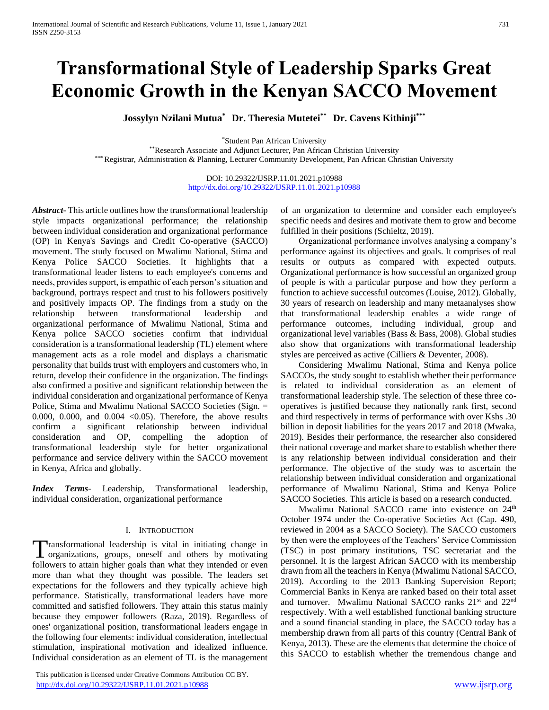# **Transformational Style of Leadership Sparks Great Economic Growth in the Kenyan SACCO Movement**

**Jossylyn Nzilani Mutua\* Dr. Theresia Mutetei\*\* Dr. Cavens Kithinji\*\*\***

\*Student Pan African University

\*\*Research Associate and Adjunct Lecturer, Pan African Christian University \*\*\* Registrar, Administration & Planning, Lecturer Community Development, Pan African Christian University

> DOI: 10.29322/IJSRP.11.01.2021.p10988 <http://dx.doi.org/10.29322/IJSRP.11.01.2021.p10988>

*Abstract***-** This article outlines how the transformational leadership style impacts organizational performance; the relationship between individual consideration and organizational performance (OP) in Kenya's Savings and Credit Co-operative (SACCO) movement. The study focused on Mwalimu National, Stima and Kenya Police SACCO Societies. It highlights that a transformational leader listens to each employee's concerns and needs, provides support, is empathic of each person's situation and background, portrays respect and trust to his followers positively and positively impacts OP. The findings from a study on the relationship between transformational leadership and organizational performance of Mwalimu National, Stima and Kenya police SACCO societies confirm that individual consideration is a transformational leadership (TL) element where management acts as a role model and displays a charismatic personality that builds trust with employers and customers who, in return, develop their confidence in the organization. The findings also confirmed a positive and significant relationship between the individual consideration and organizational performance of Kenya Police, Stima and Mwalimu National SACCO Societies (Sign. = 0.000, 0.000, and 0.004  $\langle$  0.05). Therefore, the above results confirm a significant relationship between individual consideration and OP, compelling the adoption of transformational leadership style for better organizational performance and service delivery within the SACCO movement in Kenya, Africa and globally.

*Index Terms*- Leadership, Transformational leadership, individual consideration, organizational performance

# I. INTRODUCTION

ransformational leadership is vital in initiating change in Transformational leadership is vital in initiating change in organizations, groups, oneself and others by motivating followers to attain higher goals than what they intended or even more than what they thought was possible. The leaders set expectations for the followers and they typically achieve high performance. Statistically, transformational leaders have more committed and satisfied followers. They attain this status mainly because they empower followers (Raza, 2019). Regardless of ones' organizational position, transformational leaders engage in the following four elements: individual consideration, intellectual stimulation, inspirational motivation and idealized influence. Individual consideration as an element of TL is the management

 This publication is licensed under Creative Commons Attribution CC BY. <http://dx.doi.org/10.29322/IJSRP.11.01.2021.p10988> [www.ijsrp.org](http://ijsrp.org/)

of an organization to determine and consider each employee's specific needs and desires and motivate them to grow and become fulfilled in their positions (Schieltz, 2019).

 Organizational performance involves analysing a company's performance against its objectives and goals. It comprises of real results or outputs as compared with expected outputs. Organizational performance is how successful an organized group of people is with a particular purpose and how they perform a function to achieve successful outcomes (Louise, 2012). Globally, 30 years of research on leadership and many metaanalyses show that transformational leadership enables a wide range of performance outcomes, including individual, group and organizational level variables (Bass & Bass, 2008). Global studies also show that organizations with transformational leadership styles are perceived as active (Cilliers & Deventer, 2008).

 Considering Mwalimu National, Stima and Kenya police SACCOs, the study sought to establish whether their performance is related to individual consideration as an element of transformational leadership style. The selection of these three cooperatives is justified because they nationally rank first, second and third respectively in terms of performance with over Kshs .30 billion in deposit liabilities for the years 2017 and 2018 (Mwaka, 2019). Besides their performance, the researcher also considered their national coverage and market share to establish whether there is any relationship between individual consideration and their performance. The objective of the study was to ascertain the relationship between individual consideration and organizational performance of Mwalimu National, Stima and Kenya Police SACCO Societies. This article is based on a research conducted.

Mwalimu National SACCO came into existence on 24<sup>th</sup> October 1974 under the Co-operative Societies Act (Cap. 490, reviewed in 2004 as a SACCO Society). The SACCO customers by then were the employees of the Teachers' Service Commission (TSC) in post primary institutions, TSC secretariat and the personnel. It is the largest African SACCO with its membership drawn from all the teachers in Kenya (Mwalimu National SACCO, 2019). According to the 2013 Banking Supervision Report; Commercial Banks in Kenya are ranked based on their total asset and turnover. Mwalimu National SACCO ranks 21<sup>st</sup> and 22<sup>nd</sup> respectively. With a well established functional banking structure and a sound financial standing in place, the SACCO today has a membership drawn from all parts of this country (Central Bank of Kenya, 2013). These are the elements that determine the choice of this SACCO to establish whether the tremendous change and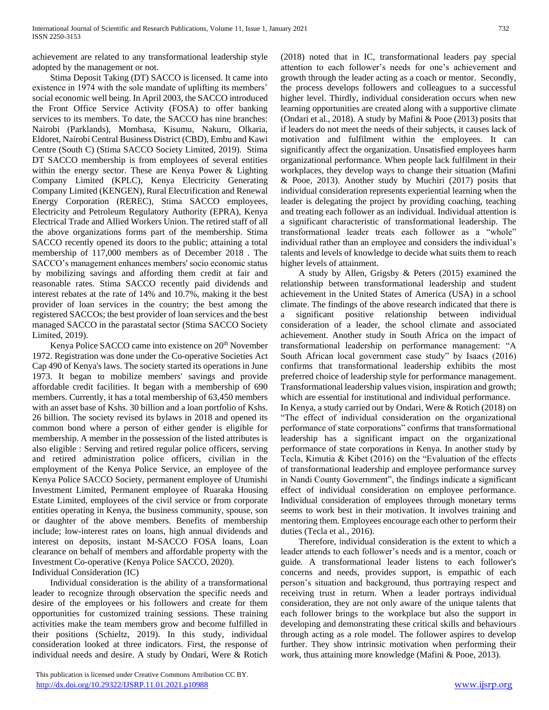achievement are related to any transformational leadership style adopted by the management or not.

 Stima Deposit Taking (DT) SACCO is licensed. It came into existence in 1974 with the sole mandate of uplifting its members' social economic well being. In April 2003, the SACCO introduced the Front Office Service Activity (FOSA) to offer banking services to its members. To date, the SACCO has nine branches: Nairobi (Parklands), Mombasa, Kisumu, Nakuru, Olkaria, Eldoret, Nairobi Central Business District (CBD), Embu and Kawi Centre (South C) (Stima SACCO Society Limited, 2019). Stima DT SACCO membership is from employees of several entities within the energy sector. These are Kenya Power & Lighting Company Limited (KPLC), Kenya Electricity Generating Company Limited (KENGEN), Rural Electrification and Renewal Energy Corporation (REREC), Stima SACCO employees, Electricity and Petroleum Regulatory Authority (EPRA), Kenya Electrical Trade and Allied Workers Union. The retired staff of all the above organizations forms part of the membership. Stima SACCO recently opened its doors to the public; attaining a total membership of 117,000 members as of December 2018 . The SACCO's management enhances members' socio economic status by mobilizing savings and affording them credit at fair and reasonable rates. Stima SACCO recently paid dividends and interest rebates at the rate of 14% and 10.7%, making it the best provider of loan services in the country; the best among the registered SACCOs; the best provider of loan services and the best managed SACCO in the parastatal sector (Stima SACCO Society Limited, 2019).

Kenya Police SACCO came into existence on 20<sup>th</sup> November 1972. Registration was done under the Co-operative Societies Act Cap 490 of Kenya's laws. The society started its operations in June 1973. It began to mobilize members' savings and provide affordable credit facilities. It began with a membership of 690 members. Currently, it has a total membership of 63,450 members with an asset base of Kshs. 30 billion and a loan portfolio of Kshs. 26 billion. The society revised its bylaws in 2018 and opened its common bond where a person of either gender is eligible for membership. A member in the possession of the listed attributes is also eligible : Serving and retired regular police officers, serving and retired administration police officers, civilian in the employment of the Kenya Police Service, an employee of the Kenya Police SACCO Society, permanent employee of Utumishi Investment Limited, Permanent employee of Ruaraka Housing Estate Limited, employees of the civil service or from corporate entities operating in Kenya, the business community, spouse, son or daughter of the above members. Benefits of membership include; low-interest rates on loans, high annual dividends and interest on deposits, instant M-SACCO FOSA loans, Loan clearance on behalf of members and affordable property with the Investment Co-operative (Kenya Police SACCO, 2020). Individual Consideration (IC)

 Individual consideration is the ability of a transformational leader to recognize through observation the specific needs and desire of the employees or his followers and create for them opportunities for customized training sessions. These training activities make the team members grow and become fulfilled in their positions (Schieltz, 2019). In this study, individual consideration looked at three indicators. First, the response of individual needs and desire. A study by Ondari, Were & Rotich (2018) noted that in IC, transformational leaders pay special attention to each follower's needs for one's achievement and growth through the leader acting as a coach or mentor. Secondly, the process develops followers and colleagues to a successful higher level. Thirdly, individual consideration occurs when new learning opportunities are created along with a supportive climate (Ondari et al., 2018). A study by Mafini & Pooe (2013) posits that if leaders do not meet the needs of their subjects, it causes lack of motivation and fulfilment within the employees. It can significantly affect the organization. Unsatisfied employees harm organizational performance. When people lack fulfilment in their workplaces, they develop ways to change their situation (Mafini & Pooe, 2013). Another study by Muchiri (2017) posits that individual consideration represents experiential learning when the leader is delegating the project by providing coaching, teaching and treating each follower as an individual. Individual attention is a significant characteristic of transformational leadership. The transformational leader treats each follower as a "whole" individual rather than an employee and considers the individual's talents and levels of knowledge to decide what suits them to reach higher levels of attainment.

 A study by Allen, Grigsby & Peters (2015) examined the relationship between transformational leadership and student achievement in the United States of America (USA) in a school climate. The findings of the above research indicated that there is a significant positive relationship between individual consideration of a leader, the school climate and associated achievement. Another study in South Africa on the impact of transformational leadership on performance management: "A South African local government case study" by Isaacs (2016) confirms that transformational leadership exhibits the most preferred choice of leadership style for performance management. Transformational leadership values vision, inspiration and growth; which are essential for institutional and individual performance.

In Kenya, a study carried out by Ondari, Were & Rotich (2018) on "The effect of individual consideration on the organizational performance of state corporations" confirms that transformational leadership has a significant impact on the organizational performance of state corporations in Kenya. In another study by Tecla, Kimutia & Kibet (2016) on the "Evaluation of the effects of transformational leadership and employee performance survey in Nandi County Government", the findings indicate a significant effect of individual consideration on employee performance. Individual consideration of employees through monetary terms seems to work best in their motivation. It involves training and mentoring them. Employees encourage each other to perform their duties (Tecla et al., 2016).

 Therefore, individual consideration is the extent to which a leader attends to each follower's needs and is a mentor, coach or guide. A transformational leader listens to each follower's concerns and needs, provides support, is empathic of each person's situation and background, thus portraying respect and receiving trust in return. When a leader portrays individual consideration, they are not only aware of the unique talents that each follower brings to the workplace but also the support in developing and demonstrating these critical skills and behaviours through acting as a role model. The follower aspires to develop further. They show intrinsic motivation when performing their work, thus attaining more knowledge (Mafini & Pooe, 2013).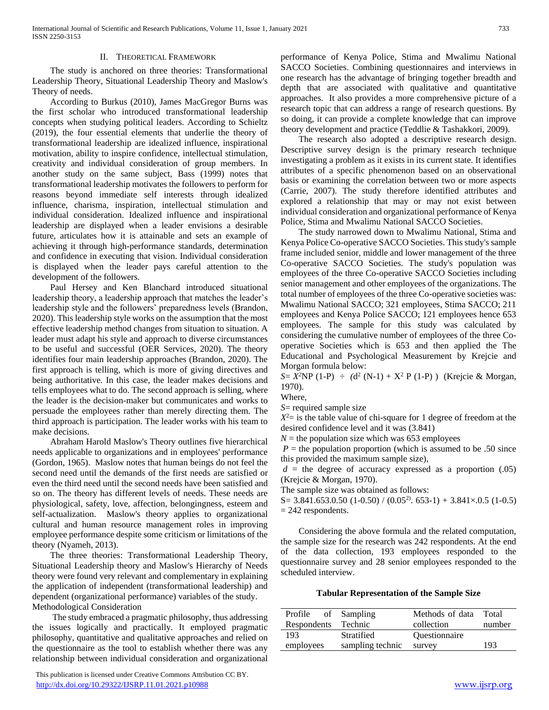#### II. THEORETICAL FRAMEWORK

 The study is anchored on three theories: Transformational Leadership Theory, Situational Leadership Theory and Maslow's Theory of needs.

 According to Burkus (2010), James MacGregor Burns was the first scholar who introduced transformational leadership concepts when studying political leaders. According to Schieltz (2019), the four essential elements that underlie the theory of transformational leadership are idealized influence, inspirational motivation, ability to inspire confidence, intellectual stimulation, creativity and individual consideration of group members. In another study on the same subject, Bass (1999) notes that transformational leadership motivates the followers to perform for reasons beyond immediate self interests through idealized influence, charisma, inspiration, intellectual stimulation and individual consideration. Idealized influence and inspirational leadership are displayed when a leader envisions a desirable future, articulates how it is attainable and sets an example of achieving it through high-performance standards, determination and confidence in executing that vision. Individual consideration is displayed when the leader pays careful attention to the development of the followers.

 Paul Hersey and Ken Blanchard introduced situational leadership theory, a leadership approach that matches the leader's leadership style and the followers' preparedness levels (Brandon, 2020). This leadership style works on the assumption that the most effective leadership method changes from situation to situation. A leader must adapt his style and approach to diverse circumstances to be useful and successful (OER Services, 2020). The theory identifies four main leadership approaches (Brandon, 2020). The first approach is telling, which is more of giving directives and being authoritative. In this case, the leader makes decisions and tells employees what to do. The second approach is selling, where the leader is the decision-maker but communicates and works to persuade the employees rather than merely directing them. The third approach is participation. The leader works with his team to make decisions.

 Abraham Harold Maslow's Theory outlines five hierarchical needs applicable to organizations and in employees' performance (Gordon, 1965). Maslow notes that human beings do not feel the second need until the demands of the first needs are satisfied or even the third need until the second needs have been satisfied and so on. The theory has different levels of needs. These needs are physiological, safety, love, affection, belongingness, esteem and self-actualization. Maslow's theory applies to organizational cultural and human resource management roles in improving employee performance despite some criticism or limitations of the theory (Nyameh, 2013).

 The three theories: Transformational Leadership Theory, Situational Leadership theory and Maslow's Hierarchy of Needs theory were found very relevant and complementary in explaining the application of independent (transformational leadership) and dependent (organizational performance) variables of the study. Methodological Consideration

 The study embraced a pragmatic philosophy, thus addressing the issues logically and practically. It employed pragmatic philosophy, quantitative and qualitative approaches and relied on the questionnaire as the tool to establish whether there was any relationship between individual consideration and organizational

 This publication is licensed under Creative Commons Attribution CC BY. <http://dx.doi.org/10.29322/IJSRP.11.01.2021.p10988> [www.ijsrp.org](http://ijsrp.org/)

performance of Kenya Police, Stima and Mwalimu National SACCO Societies. Combining questionnaires and interviews in one research has the advantage of bringing together breadth and depth that are associated with qualitative and quantitative approaches. It also provides a more comprehensive picture of a research topic that can address a range of research questions. By so doing, it can provide a complete knowledge that can improve theory development and practice (Teddlie & Tashakkori, 2009).

 The research also adopted a descriptive research design. Descriptive survey design is the primary research technique investigating a problem as it exists in its current state. It identifies attributes of a specific phenomenon based on an observational basis or examining the correlation between two or more aspects (Carrie, 2007). The study therefore identified attributes and explored a relationship that may or may not exist between individual consideration and organizational performance of Kenya Police, Stima and Mwalimu National SACCO Societies.

 The study narrowed down to Mwalimu National, Stima and Kenya Police Co-operative SACCO Societies. This study's sample frame included senior, middle and lower management of the three Co-operative SACCO Societies. The study's population was employees of the three Co-operative SACCO Societies including senior management and other employees of the organizations. The total number of employees of the three Co-operative societies was: Mwalimu National SACCO; 321 employees, Stima SACCO; 211 employees and Kenya Police SACCO; 121 employees hence 653 employees. The sample for this study was calculated by considering the cumulative number of employees of the three Cooperative Societies which is 653 and then applied the The Educational and Psychological Measurement by Krejcie and Morgan formula below:

*S*=  $X^2$ NP (1-P) ÷ ( $d^2$  (N-1) +  $X^2$  P (1-P)) (Krejcie & Morgan, 1970).

Where,

*S*= required sample size

 $X^2$  = is the table value of chi-square for 1 degree of freedom at the desired confidence level and it was (3.841)

 $N =$  the population size which was 653 employees

 $P =$  the population proportion (which is assumed to be .50 since this provided the maximum sample size),

 $d =$  the degree of accuracy expressed as a proportion  $(.05)$ (Krejcie & Morgan, 1970).

The sample size was obtained as follows:

 $S= 3.841.653.0.50$  (1-0.50) / (0.05<sup>2)</sup>. 653-1) + 3.841×.0.5 (1-0.5)  $= 242$  respondents.

 Considering the above formula and the related computation, the sample size for the research was 242 respondents. At the end of the data collection, 193 employees responded to the questionnaire survey and 28 senior employees responded to the scheduled interview.

# **Tabular Representation of the Sample Size**

| Profile of Sampling |                  | Methods of data Total |        |  |
|---------------------|------------------|-----------------------|--------|--|
| Respondents Technic |                  | collection            | number |  |
| 193                 | Stratified       | <b>Ouestionnaire</b>  |        |  |
| employees           | sampling technic | survey                | 193    |  |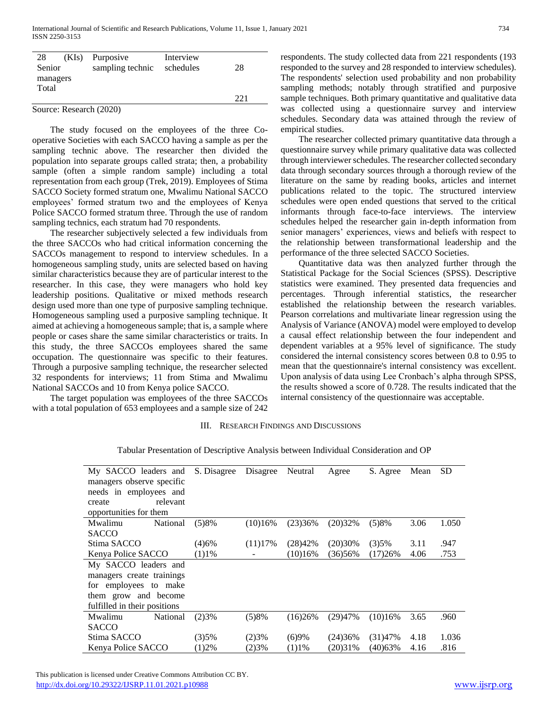| 28     | (KIs)    | Purposive               | Interview |      |
|--------|----------|-------------------------|-----------|------|
| Senior |          | sampling technic        | schedules | 28   |
|        | managers |                         |           |      |
| Total  |          |                         |           |      |
|        |          |                         |           | 22.1 |
|        |          | Source: Research (2020) |           |      |

 The study focused on the employees of the three Cooperative Societies with each SACCO having a sample as per the sampling technic above. The researcher then divided the population into separate groups called strata; then, a probability sample (often a simple random sample) including a total

representation from each group (Trek, 2019). Employees of Stima SACCO Society formed stratum one, Mwalimu National SACCO employees' formed stratum two and the employees of Kenya Police SACCO formed stratum three. Through the use of random sampling technics, each stratum had 70 respondents.

 The researcher subjectively selected a few individuals from the three SACCOs who had critical information concerning the SACCOs management to respond to interview schedules. In a homogeneous sampling study, units are selected based on having similar characteristics because they are of particular interest to the researcher. In this case, they were managers who hold key leadership positions. Qualitative or mixed methods research design used more than one type of purposive sampling technique. Homogeneous sampling used a purposive sampling technique. It aimed at achieving a homogeneous sample; that is, a sample where people or cases share the same similar characteristics or traits. In this study, the three SACCOs employees shared the same occupation. The questionnaire was specific to their features. Through a purposive sampling technique, the researcher selected 32 respondents for interviews; 11 from Stima and Mwalimu National SACCOs and 10 from Kenya police SACCO.

 The target population was employees of the three SACCOs with a total population of 653 employees and a sample size of 242

respondents. The study collected data from 221 respondents (193 responded to the survey and 28 responded to interview schedules). The respondents' selection used probability and non probability sampling methods; notably through stratified and purposive sample techniques. Both primary quantitative and qualitative data was collected using a questionnaire survey and interview schedules. Secondary data was attained through the review of empirical studies.

 The researcher collected primary quantitative data through a questionnaire survey while primary qualitative data was collected through interviewer schedules. The researcher collected secondary data through secondary sources through a thorough review of the literature on the same by reading books, articles and internet publications related to the topic. The structured interview schedules were open ended questions that served to the critical informants through face-to-face interviews. The interview schedules helped the researcher gain in-depth information from senior managers' experiences, views and beliefs with respect to the relationship between transformational leadership and the performance of the three selected SACCO Societies.

 Quantitative data was then analyzed further through the Statistical Package for the Social Sciences (SPSS). Descriptive statistics were examined. They presented data frequencies and percentages. Through inferential statistics, the researcher established the relationship between the research variables. Pearson correlations and multivariate linear regression using the Analysis of Variance (ANOVA) model were employed to develop a causal effect relationship between the four independent and dependent variables at a 95% level of significance. The study considered the internal consistency scores between 0.8 to 0.95 to mean that the questionnaire's internal consistency was excellent. Upon analysis of data using Lee Cronbach's alpha through SPSS, the results showed a score of 0.728. The results indicated that the internal consistency of the questionnaire was acceptable.

# III. RESEARCH FINDINGS AND DISCUSSIONS

| My SACCO leaders and         | S. Disagree | Disagree | Neutral | Agree   | S. Agree | Mean | <b>SD</b> |
|------------------------------|-------------|----------|---------|---------|----------|------|-----------|
| managers observe specific    |             |          |         |         |          |      |           |
| needs in employees and       |             |          |         |         |          |      |           |
| relevant<br>create           |             |          |         |         |          |      |           |
| opportunities for them       |             |          |         |         |          |      |           |
| Mwalimu<br>National          | (5)8%       | (10)16%  | (23)36% | (20)32% | (5)8%    | 3.06 | 1.050     |
| <b>SACCO</b>                 |             |          |         |         |          |      |           |
| Stima SACCO                  | (4)6%       | (11)17%  | (28)42% | (20)30% | (3)5%    | 3.11 | .947      |
| Kenya Police SACCO           | $(1)1\%$    |          | (10)16% | (36)56% | (17)26%  | 4.06 | .753      |
| My SACCO leaders and         |             |          |         |         |          |      |           |
| managers create trainings    |             |          |         |         |          |      |           |
| for employees to make        |             |          |         |         |          |      |           |
| them grow and become         |             |          |         |         |          |      |           |
| fulfilled in their positions |             |          |         |         |          |      |           |
| Mwalimu<br>National          | (2)3%       | (5)8%    | (16)26% | (29)47% | (10)16%  | 3.65 | .960      |
| <b>SACCO</b>                 |             |          |         |         |          |      |           |
| Stima SACCO                  | (3)5%       | (2)3%    | (6)9%   | (24)36% | (31)47%  | 4.18 | 1.036     |
| Kenya Police SACCO           | $(1)2\%$    | (2)3%    | (1)1%   | (20)31% | (40)63%  | 4.16 | .816      |

Tabular Presentation of Descriptive Analysis between Individual Consideration and OP

 This publication is licensed under Creative Commons Attribution CC BY. <http://dx.doi.org/10.29322/IJSRP.11.01.2021.p10988> [www.ijsrp.org](http://ijsrp.org/)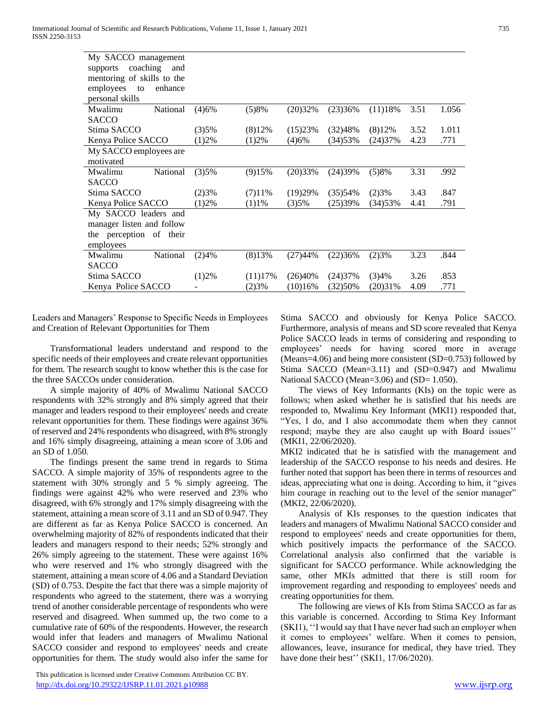| (4)6%                  |         | (20)32% | (23)36% | (11)18%  | 3.51 | 1.056 |
|------------------------|---------|---------|---------|----------|------|-------|
|                        |         |         |         |          |      |       |
| (3)5%                  | (8)12%  | (15)23% | (32)48% | (8)12%   | 3.52 | 1.011 |
| (1)2%                  | (1)2%   | (4)6%   | (34)53% | (24)37%  | 4.23 | .771  |
| My SACCO employees are |         |         |         |          |      |       |
|                        |         |         |         |          |      |       |
| (3)5%                  | (9)15%  | (20)33% | (24)39% | (5)8%    | 3.31 | .992  |
|                        |         |         |         |          |      |       |
| (2)3%                  | (7)11%  | (19)29% | (35)54% | (2)3%    | 3.43 | .847  |
| (1)2%                  | (1)1%   | (3)5%   | (25)39% | (34) 53% | 4.41 | .791  |
|                        |         |         |         |          |      |       |
|                        |         |         |         |          |      |       |
|                        |         |         |         |          |      |       |
|                        |         |         |         |          |      |       |
| (2)4%                  | (8)13%  | (27)44% | (22)36% | (2)3%    | 3.23 | .844  |
|                        |         |         |         |          |      |       |
| (1)2%                  | (11)17% | (26)40% | (24)37% | (3)4%    | 3.26 | .853  |
|                        | (2)3%   | (10)16% | (32)50% | (20)31%  | 4.09 | .771  |
|                        |         | (5)8%   |         |          |      |       |

Leaders and Managers' Response to Specific Needs in Employees and Creation of Relevant Opportunities for Them

 Transformational leaders understand and respond to the specific needs of their employees and create relevant opportunities for them. The research sought to know whether this is the case for the three SACCOs under consideration.

 A simple majority of 40% of Mwalimu National SACCO respondents with 32% strongly and 8% simply agreed that their manager and leaders respond to their employees' needs and create relevant opportunities for them. These findings were against 36% of reserved and 24% respondents who disagreed, with 8% strongly and 16% simply disagreeing, attaining a mean score of 3.06 and an SD of 1.050.

 The findings present the same trend in regards to Stima SACCO. A simple majority of 35% of respondents agree to the statement with 30% strongly and 5 % simply agreeing. The findings were against 42% who were reserved and 23% who disagreed, with 6% strongly and 17% simply disagreeing with the statement, attaining a mean score of 3.11 and an SD of 0.947. They are different as far as Kenya Police SACCO is concerned. An overwhelming majority of 82% of respondents indicated that their leaders and managers respond to their needs; 52% strongly and 26% simply agreeing to the statement. These were against 16% who were reserved and 1% who strongly disagreed with the statement, attaining a mean score of 4.06 and a Standard Deviation (SD) of 0.753. Despite the fact that there was a simple majority of respondents who agreed to the statement, there was a worrying trend of another considerable percentage of respondents who were reserved and disagreed. When summed up, the two come to a cumulative rate of 60% of the respondents. However, the research would infer that leaders and managers of Mwalimu National SACCO consider and respond to employees' needs and create opportunities for them. The study would also infer the same for

 This publication is licensed under Creative Commons Attribution CC BY. <http://dx.doi.org/10.29322/IJSRP.11.01.2021.p10988> [www.ijsrp.org](http://ijsrp.org/)

Stima SACCO and obviously for Kenya Police SACCO. Furthermore, analysis of means and SD score revealed that Kenya Police SACCO leads in terms of considering and responding to employees' needs for having scored more in average (Means=4.06) and being more consistent (SD=0.753) followed by Stima SACCO (Mean=3.11) and (SD=0.947) and Mwalimu National SACCO (Mean=3.06) and (SD= 1.050).

 The views of Key Informants (KIs) on the topic were as follows; when asked whether he is satisfied that his needs are responded to, Mwalimu Key Informant (MKI1) responded that, "Yes, I do, and I also accommodate them when they cannot respond; maybe they are also caught up with Board issues'' (MKI1, 22/06/2020).

MKI2 indicated that he is satisfied with the management and leadership of the SACCO response to his needs and desires. He further noted that support has been there in terms of resources and ideas, appreciating what one is doing. According to him, it "gives him courage in reaching out to the level of the senior manager" (MKI2, 22/06/2020).

 Analysis of KIs responses to the question indicates that leaders and managers of Mwalimu National SACCO consider and respond to employees' needs and create opportunities for them, which positively impacts the performance of the SACCO. Correlational analysis also confirmed that the variable is significant for SACCO performance. While acknowledging the same, other MKIs admitted that there is still room for improvement regarding and responding to employees' needs and creating opportunities for them.

 The following are views of KIs from Stima SACCO as far as this variable is concerned. According to Stima Key Informant (SKI1), ''I would say that I have never had such an employer when it comes to employees' welfare. When it comes to pension, allowances, leave, insurance for medical, they have tried. They have done their best" (SKI1, 17/06/2020).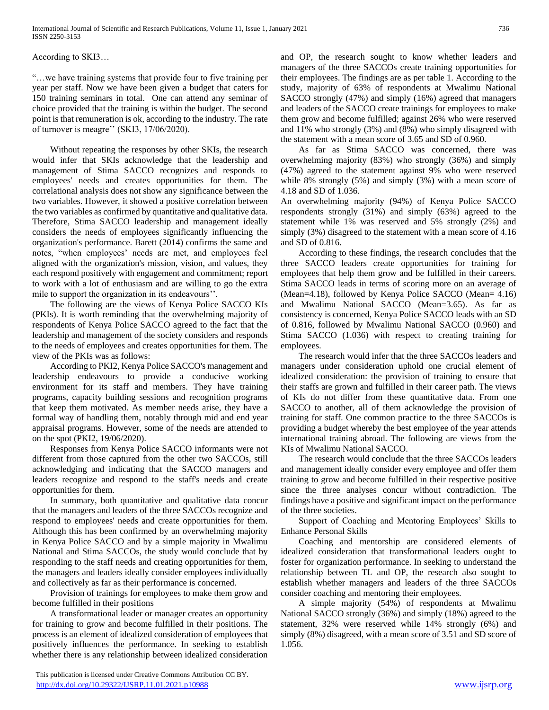According to SKI3…

"…we have training systems that provide four to five training per year per staff. Now we have been given a budget that caters for 150 training seminars in total. One can attend any seminar of choice provided that the training is within the budget. The second point is that remuneration is ok, according to the industry. The rate of turnover is meagre'' (SKI3, 17/06/2020).

 Without repeating the responses by other SKIs, the research would infer that SKIs acknowledge that the leadership and management of Stima SACCO recognizes and responds to employees' needs and creates opportunities for them. The correlational analysis does not show any significance between the two variables. However, it showed a positive correlation between the two variables as confirmed by quantitative and qualitative data. Therefore, Stima SACCO leadership and management ideally considers the needs of employees significantly influencing the organization's performance. Barett (2014) confirms the same and notes, "when employees' needs are met, and employees feel aligned with the organization's mission, vision, and values, they each respond positively with engagement and commitment; report to work with a lot of enthusiasm and are willing to go the extra mile to support the organization in its endeavours''.

 The following are the views of Kenya Police SACCO KIs (PKIs). It is worth reminding that the overwhelming majority of respondents of Kenya Police SACCO agreed to the fact that the leadership and management of the society considers and responds to the needs of employees and creates opportunities for them. The view of the PKIs was as follows:

 According to PKI2, Kenya Police SACCO's management and leadership endeavours to provide a conducive working environment for its staff and members. They have training programs, capacity building sessions and recognition programs that keep them motivated. As member needs arise, they have a formal way of handling them, notably through mid and end year appraisal programs. However, some of the needs are attended to on the spot (PKI2, 19/06/2020).

 Responses from Kenya Police SACCO informants were not different from those captured from the other two SACCOs, still acknowledging and indicating that the SACCO managers and leaders recognize and respond to the staff's needs and create opportunities for them.

 In summary, both quantitative and qualitative data concur that the managers and leaders of the three SACCOs recognize and respond to employees' needs and create opportunities for them. Although this has been confirmed by an overwhelming majority in Kenya Police SACCO and by a simple majority in Mwalimu National and Stima SACCOs, the study would conclude that by responding to the staff needs and creating opportunities for them, the managers and leaders ideally consider employees individually and collectively as far as their performance is concerned.

 Provision of trainings for employees to make them grow and become fulfilled in their positions

 A transformational leader or manager creates an opportunity for training to grow and become fulfilled in their positions. The process is an element of idealized consideration of employees that positively influences the performance. In seeking to establish whether there is any relationship between idealized consideration

and OP, the research sought to know whether leaders and managers of the three SACCOs create training opportunities for their employees. The findings are as per table 1. According to the study, majority of 63% of respondents at Mwalimu National SACCO strongly (47%) and simply (16%) agreed that managers and leaders of the SACCO create trainings for employees to make them grow and become fulfilled; against 26% who were reserved and 11% who strongly (3%) and (8%) who simply disagreed with the statement with a mean score of 3.65 and SD of 0.960.

 As far as Stima SACCO was concerned, there was overwhelming majority (83%) who strongly (36%) and simply (47%) agreed to the statement against 9% who were reserved while 8% strongly (5%) and simply (3%) with a mean score of 4.18 and SD of 1.036.

An overwhelming majority (94%) of Kenya Police SACCO respondents strongly (31%) and simply (63%) agreed to the statement while 1% was reserved and 5% strongly (2%) and simply (3%) disagreed to the statement with a mean score of 4.16 and SD of 0.816.

 According to these findings, the research concludes that the three SACCO leaders create opportunities for training for employees that help them grow and be fulfilled in their careers. Stima SACCO leads in terms of scoring more on an average of (Mean=4.18), followed by Kenya Police SACCO (Mean= 4.16) and Mwalimu National SACCO (Mean=3.65). As far as consistency is concerned, Kenya Police SACCO leads with an SD of 0.816, followed by Mwalimu National SACCO (0.960) and Stima SACCO (1.036) with respect to creating training for employees.

 The research would infer that the three SACCOs leaders and managers under consideration uphold one crucial element of idealized consideration: the provision of training to ensure that their staffs are grown and fulfilled in their career path. The views of KIs do not differ from these quantitative data. From one SACCO to another, all of them acknowledge the provision of training for staff. One common practice to the three SACCOs is providing a budget whereby the best employee of the year attends international training abroad. The following are views from the KIs of Mwalimu National SACCO.

 The research would conclude that the three SACCOs leaders and management ideally consider every employee and offer them training to grow and become fulfilled in their respective positive since the three analyses concur without contradiction. The findings have a positive and significant impact on the performance of the three societies.

 Support of Coaching and Mentoring Employees' Skills to Enhance Personal Skills

 Coaching and mentorship are considered elements of idealized consideration that transformational leaders ought to foster for organization performance. In seeking to understand the relationship between TL and OP, the research also sought to establish whether managers and leaders of the three SACCOs consider coaching and mentoring their employees.

 A simple majority (54%) of respondents at Mwalimu National SACCO strongly (36%) and simply (18%) agreed to the statement, 32% were reserved while 14% strongly (6%) and simply (8%) disagreed, with a mean score of 3.51 and SD score of 1.056.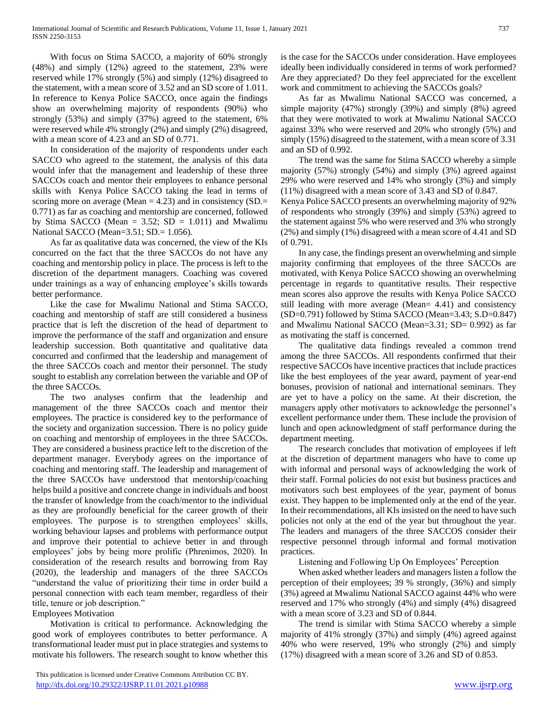With focus on Stima SACCO, a majority of 60% strongly (48%) and simply (12%) agreed to the statement, 23% were reserved while 17% strongly (5%) and simply (12%) disagreed to the statement, with a mean score of 3.52 and an SD score of 1.011. In reference to Kenya Police SACCO, once again the findings show an overwhelming majority of respondents (90%) who strongly (53%) and simply (37%) agreed to the statement, 6% were reserved while 4% strongly (2%) and simply (2%) disagreed, with a mean score of 4.23 and an SD of 0.771.

 In consideration of the majority of respondents under each SACCO who agreed to the statement, the analysis of this data would infer that the management and leadership of these three SACCOs coach and mentor their employees to enhance personal skills with Kenya Police SACCO taking the lead in terms of scoring more on average (Mean = 4.23) and in consistency (SD.= 0.771) as far as coaching and mentorship are concerned, followed by Stima SACCO (Mean =  $3.52$ ; SD = 1.011) and Mwalimu National SACCO (Mean=3.51; SD.= 1.056).

 As far as qualitative data was concerned, the view of the KIs concurred on the fact that the three SACCOs do not have any coaching and mentorship policy in place. The process is left to the discretion of the department managers. Coaching was covered under trainings as a way of enhancing employee's skills towards better performance.

 Like the case for Mwalimu National and Stima SACCO, coaching and mentorship of staff are still considered a business practice that is left the discretion of the head of department to improve the performance of the staff and organization and ensure leadership succession. Both quantitative and qualitative data concurred and confirmed that the leadership and management of the three SACCOs coach and mentor their personnel. The study sought to establish any correlation between the variable and OP of the three SACCOs.

 The two analyses confirm that the leadership and management of the three SACCOs coach and mentor their employees. The practice is considered key to the performance of the society and organization succession. There is no policy guide on coaching and mentorship of employees in the three SACCOs. They are considered a business practice left to the discretion of the department manager. Everybody agrees on the importance of coaching and mentoring staff. The leadership and management of the three SACCOs have understood that mentorship/coaching helps build a positive and concrete change in individuals and boost the transfer of knowledge from the coach/mentor to the individual as they are profoundly beneficial for the career growth of their employees. The purpose is to strengthen employees' skills, working behaviour lapses and problems with performance output and improve their potential to achieve better in and through employees' jobs by being more prolific (Phrenimos, 2020). In consideration of the research results and borrowing from Ray (2020), the leadership and managers of the three SACCOs "understand the value of prioritizing their time in order build a personal connection with each team member, regardless of their title, tenure or job description."

Employees Motivation

 Motivation is critical to performance. Acknowledging the good work of employees contributes to better performance. A transformational leader must put in place strategies and systems to motivate his followers. The research sought to know whether this is the case for the SACCOs under consideration. Have employees ideally been individually considered in terms of work performed? Are they appreciated? Do they feel appreciated for the excellent work and commitment to achieving the SACCOs goals?

 As far as Mwalimu National SACCO was concerned, a simple majority (47%) strongly (39%) and simply (8%) agreed that they were motivated to work at Mwalimu National SACCO against 33% who were reserved and 20% who strongly (5%) and simply (15%) disagreed to the statement, with a mean score of 3.31 and an SD of 0.992.

 The trend was the same for Stima SACCO whereby a simple majority (57%) strongly (54%) and simply (3%) agreed against 29% who were reserved and 14% who strongly (3%) and simply (11%) disagreed with a mean score of 3.43 and SD of 0.847.

Kenya Police SACCO presents an overwhelming majority of 92% of respondents who strongly (39%) and simply (53%) agreed to the statement against 5% who were reserved and 3% who strongly (2%) and simply (1%) disagreed with a mean score of 4.41 and SD of 0.791.

 In any case, the findings present an overwhelming and simple majority confirming that employees of the three SACCOs are motivated, with Kenya Police SACCO showing an overwhelming percentage in regards to quantitative results. Their respective mean scores also approve the results with Kenya Police SACCO still leading with more average (Mean= 4.41) and consistency  $(SD=0.791)$  followed by Stima SACCO (Mean=3.43; S.D=0.847) and Mwalimu National SACCO (Mean=3.31; SD= 0.992) as far as motivating the staff is concerned.

 The qualitative data findings revealed a common trend among the three SACCOs. All respondents confirmed that their respective SACCOs have incentive practices that include practices like the best employees of the year award, payment of year-end bonuses, provision of national and international seminars. They are yet to have a policy on the same. At their discretion, the managers apply other motivators to acknowledge the personnel's excellent performance under them. These include the provision of lunch and open acknowledgment of staff performance during the department meeting.

 The research concludes that motivation of employees if left at the discretion of department managers who have to come up with informal and personal ways of acknowledging the work of their staff. Formal policies do not exist but business practices and motivators such best employees of the year, payment of bonus exist. They happen to be implemented only at the end of the year. In their recommendations, all KIs insisted on the need to have such policies not only at the end of the year but throughout the year. The leaders and managers of the three SACCOS consider their respective personnel through informal and formal motivation practices.

Listening and Following Up On Employees' Perception

 When asked whether leaders and managers listen a follow the perception of their employees; 39 % strongly, (36%) and simply (3%) agreed at Mwalimu National SACCO against 44% who were reserved and 17% who strongly (4%) and simply (4%) disagreed with a mean score of 3.23 and SD of 0.844.

 The trend is similar with Stima SACCO whereby a simple majority of 41% strongly (37%) and simply (4%) agreed against 40% who were reserved, 19% who strongly (2%) and simply (17%) disagreed with a mean score of 3.26 and SD of 0.853.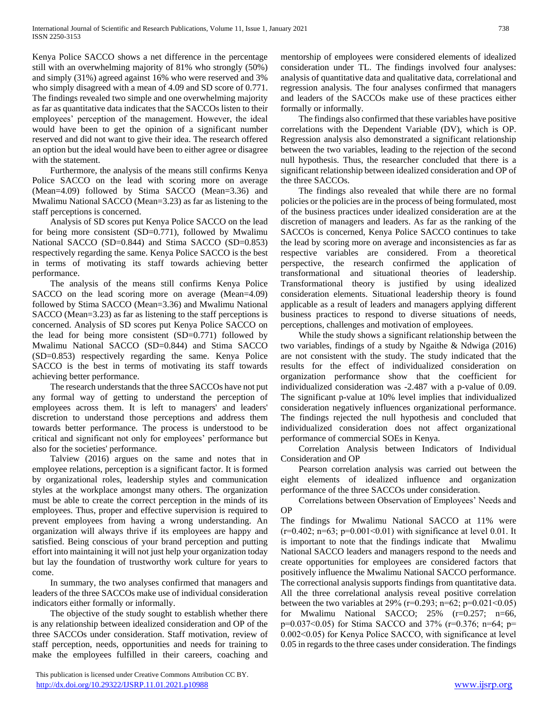Kenya Police SACCO shows a net difference in the percentage still with an overwhelming majority of 81% who strongly (50%) and simply (31%) agreed against 16% who were reserved and 3% who simply disagreed with a mean of 4.09 and SD score of 0.771. The findings revealed two simple and one overwhelming majority as far as quantitative data indicates that the SACCOs listen to their employees' perception of the management. However, the ideal would have been to get the opinion of a significant number reserved and did not want to give their idea. The research offered an option but the ideal would have been to either agree or disagree with the statement.

 Furthermore, the analysis of the means still confirms Kenya Police SACCO on the lead with scoring more on average (Mean=4.09) followed by Stima SACCO (Mean=3.36) and Mwalimu National SACCO (Mean=3.23) as far as listening to the staff perceptions is concerned.

 Analysis of SD scores put Kenya Police SACCO on the lead for being more consistent (SD=0.771), followed by Mwalimu National SACCO (SD=0.844) and Stima SACCO (SD=0.853) respectively regarding the same. Kenya Police SACCO is the best in terms of motivating its staff towards achieving better performance.

 The analysis of the means still confirms Kenya Police SACCO on the lead scoring more on average (Mean=4.09) followed by Stima SACCO (Mean=3.36) and Mwalimu National SACCO (Mean=3.23) as far as listening to the staff perceptions is concerned. Analysis of SD scores put Kenya Police SACCO on the lead for being more consistent (SD=0.771) followed by Mwalimu National SACCO (SD=0.844) and Stima SACCO (SD=0.853) respectively regarding the same. Kenya Police SACCO is the best in terms of motivating its staff towards achieving better performance.

 The research understands that the three SACCOs have not put any formal way of getting to understand the perception of employees across them. It is left to managers' and leaders' discretion to understand those perceptions and address them towards better performance. The process is understood to be critical and significant not only for employees' performance but also for the societies' performance.

 Talview (2016) argues on the same and notes that in employee relations, perception is a significant factor. It is formed by organizational roles, leadership styles and communication styles at the workplace amongst many others. The organization must be able to create the correct perception in the minds of its employees. Thus, proper and effective supervision is required to prevent employees from having a wrong understanding. An organization will always thrive if its employees are happy and satisfied. Being conscious of your brand perception and putting effort into maintaining it will not just help your organization today but lay the foundation of trustworthy work culture for years to come.

 In summary, the two analyses confirmed that managers and leaders of the three SACCOs make use of individual consideration indicators either formally or informally.

 The objective of the study sought to establish whether there is any relationship between idealized consideration and OP of the three SACCOs under consideration. Staff motivation, review of staff perception, needs, opportunities and needs for training to make the employees fulfilled in their careers, coaching and

 This publication is licensed under Creative Commons Attribution CC BY. <http://dx.doi.org/10.29322/IJSRP.11.01.2021.p10988> [www.ijsrp.org](http://ijsrp.org/)

mentorship of employees were considered elements of idealized consideration under TL. The findings involved four analyses: analysis of quantitative data and qualitative data, correlational and regression analysis. The four analyses confirmed that managers and leaders of the SACCOs make use of these practices either formally or informally.

 The findings also confirmed that these variables have positive correlations with the Dependent Variable (DV), which is OP. Regression analysis also demonstrated a significant relationship between the two variables, leading to the rejection of the second null hypothesis. Thus, the researcher concluded that there is a significant relationship between idealized consideration and OP of the three SACCOs.

 The findings also revealed that while there are no formal policies or the policies are in the process of being formulated, most of the business practices under idealized consideration are at the discretion of managers and leaders. As far as the ranking of the SACCOs is concerned, Kenya Police SACCO continues to take the lead by scoring more on average and inconsistencies as far as respective variables are considered. From a theoretical perspective, the research confirmed the application of transformational and situational theories of leadership. Transformational theory is justified by using idealized consideration elements. Situational leadership theory is found applicable as a result of leaders and managers applying different business practices to respond to diverse situations of needs, perceptions, challenges and motivation of employees.

 While the study shows a significant relationship between the two variables, findings of a study by Ngaithe & Ndwiga (2016) are not consistent with the study. The study indicated that the results for the effect of individualized consideration on organization performance show that the coefficient for individualized consideration was -2.487 with a p-value of 0.09. The significant p-value at 10% level implies that individualized consideration negatively influences organizational performance. The findings rejected the null hypothesis and concluded that individualized consideration does not affect organizational performance of commercial SOEs in Kenya.

 Correlation Analysis between Indicators of Individual Consideration and OP

 Pearson correlation analysis was carried out between the eight elements of idealized influence and organization performance of the three SACCOs under consideration.

 Correlations between Observation of Employees' Needs and OP

The findings for Mwalimu National SACCO at 11% were  $(r=0.402; n=63; p=0.001<0.01)$  with significance at level 0.01. It is important to note that the findings indicate that Mwalimu National SACCO leaders and managers respond to the needs and create opportunities for employees are considered factors that positively influence the Mwalimu National SACCO performance. The correctional analysis supports findings from quantitative data. All the three correlational analysis reveal positive correlation between the two variables at  $29\%$  (r=0.293; n=62; p=0.021<0.05) for Mwalimu National SACCO; 25% (r=0.257; n=66, p=0.037˂0.05) for Stima SACCO and 37% (r=0.376; n=64; p= 0.002˂0.05) for Kenya Police SACCO, with significance at level 0.05 in regards to the three cases under consideration. The findings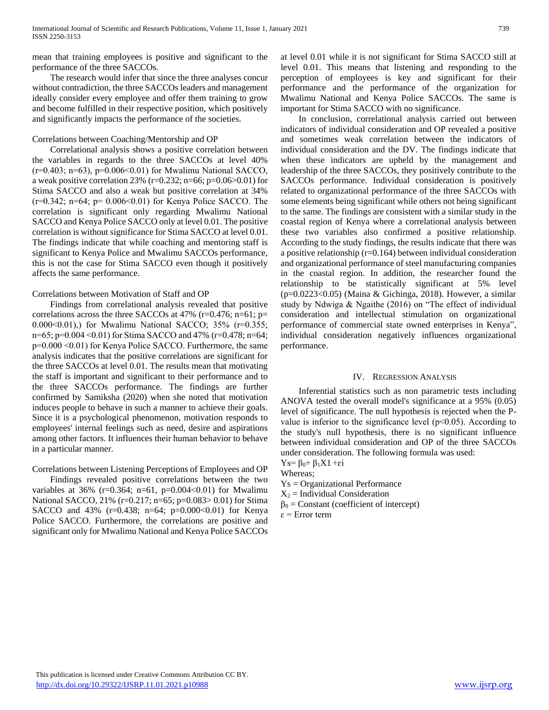mean that training employees is positive and significant to the performance of the three SACCOs.

 The research would infer that since the three analyses concur without contradiction, the three SACCOs leaders and management ideally consider every employee and offer them training to grow and become fulfilled in their respective position, which positively and significantly impacts the performance of the societies.

# Correlations between Coaching/Mentorship and OP

 Correlational analysis shows a positive correlation between the variables in regards to the three SACCOs at level 40%  $(r=0.403; n=63)$ ,  $p=0.006<0.01$  for Mwalimu National SACCO, a weak positive correlation 23% ( $r=0.232$ ;  $n=66$ ;  $p=0.06>0.01$ ) for Stima SACCO and also a weak but positive correlation at 34% (r=0.342; n=64; p= 0.006˂0.01) for Kenya Police SACCO. The correlation is significant only regarding Mwalimu National SACCO and Kenya Police SACCO only at level 0.01. The positive correlation is without significance for Stima SACCO at level 0.01. The findings indicate that while coaching and mentoring staff is significant to Kenya Police and Mwalimu SACCOs performance, this is not the case for Stima SACCO even though it positively affects the same performance.

# Correlations between Motivation of Staff and OP

 Findings from correlational analysis revealed that positive correlations across the three SACCOs at  $47\%$  (r=0.476; n=61; p= 0.000˂0.01),) for Mwalimu National SACCO; 35% (r=0.355; n=65; p=0.004 ˂0.01) for Stima SACCO and 47% (r=0.478; n=64; p=0.000 ˂0.01) for Kenya Police SACCO. Furthermore, the same analysis indicates that the positive correlations are significant for the three SACCOs at level 0.01. The results mean that motivating the staff is important and significant to their performance and to the three SACCOs performance. The findings are further confirmed by Samiksha (2020) when she noted that motivation induces people to behave in such a manner to achieve their goals. Since it is a psychological phenomenon, motivation responds to employees' internal feelings such as need, desire and aspirations among other factors. It influences their human behavior to behave in a particular manner.

# Correlations between Listening Perceptions of Employees and OP

 Findings revealed positive correlations between the two variables at 36% (r=0.364; n=61, p=0.004<0.01) for Mwalimu National SACCO, 21% (r=0.217; n=65; p=0.083> 0.01) for Stima SACCO and 43% ( $r=0.438$ ;  $n=64$ ;  $p=0.000<0.01$ ) for Kenya Police SACCO. Furthermore, the correlations are positive and significant only for Mwalimu National and Kenya Police SACCOs at level 0.01 while it is not significant for Stima SACCO still at level 0.01. This means that listening and responding to the perception of employees is key and significant for their performance and the performance of the organization for Mwalimu National and Kenya Police SACCOs. The same is important for Stima SACCO with no significance.

 In conclusion, correlational analysis carried out between indicators of individual consideration and OP revealed a positive and sometimes weak correlation between the indicators of individual consideration and the DV. The findings indicate that when these indicators are upheld by the management and leadership of the three SACCOs, they positively contribute to the SACCOs performance. Individual consideration is positively related to organizational performance of the three SACCOs with some elements being significant while others not being significant to the same. The findings are consistent with a similar study in the coastal region of Kenya where a correlational analysis between these two variables also confirmed a positive relationship. According to the study findings, the results indicate that there was a positive relationship (r=0.164) between individual consideration and organizational performance of steel manufacturing companies in the coastal region. In addition, the researcher found the relationship to be statistically significant at 5% level (p=0.0223<0.05) (Maina & Gichinga, 2018). However, a similar study by Ndwiga & Ngaithe (2016) on "The effect of individual consideration and intellectual stimulation on organizational performance of commercial state owned enterprises in Kenya", individual consideration negatively influences organizational performance.

# IV. REGRESSION ANALYSIS

 Inferential statistics such as non parametric tests including ANOVA tested the overall model's significance at a 95% (0.05) level of significance. The null hypothesis is rejected when the Pvalue is inferior to the significance level  $(p<0.05)$ . According to the study's null hypothesis, there is no significant influence between individual consideration and OP of the three SACCOs under consideration. The following formula was used:

Ys=  $β_0 + β_1X1 + εi$ 

Whereas;

Ys = Organizational Performance

 $X_2$  = Individual Consideration

 $β<sub>0</sub> = Constant (coefficient of intercept)$ 

 $\varepsilon$  = Error term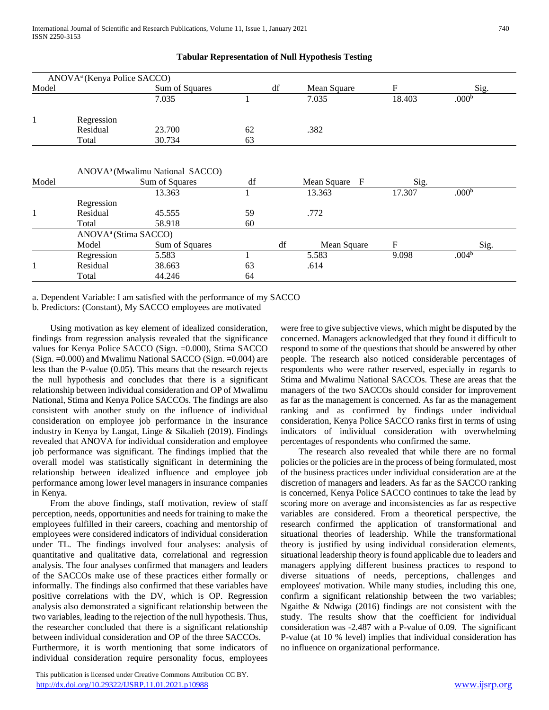|              | ANOVA <sup>a</sup> (Kenya Police SACCO) |                                             |    |    |                             |              |                   |
|--------------|-----------------------------------------|---------------------------------------------|----|----|-----------------------------|--------------|-------------------|
| Model        |                                         | Sum of Squares                              |    | df | Mean Square                 | $\mathbf{F}$ | Sig.              |
|              |                                         | 7.035                                       |    |    | 7.035                       | 18.403       | .000 <sup>b</sup> |
| $\mathbf{1}$ | Regression                              |                                             |    |    |                             |              |                   |
|              | Residual                                | 23.700                                      | 62 |    | .382                        |              |                   |
|              | Total                                   | 30.734                                      | 63 |    |                             |              |                   |
|              |                                         | ANOVA <sup>a</sup> (Mwalimu National SACCO) |    |    |                             |              |                   |
| Model        |                                         | Sum of Squares                              | df |    | $\mathbf{F}$<br>Mean Square | Sig.         |                   |
|              |                                         | 13.363                                      |    |    | 13.363                      | 17.307       | .000 <sup>b</sup> |
|              | Regression                              |                                             |    |    |                             |              |                   |
| 1            | Residual                                | 45.555                                      | 59 |    | .772                        |              |                   |
|              | Total                                   | 58.918                                      | 60 |    |                             |              |                   |
|              | ANOVA <sup>a</sup> (Stima SACCO)        |                                             |    |    |                             |              |                   |
|              | Model                                   | Sum of Squares                              |    | df | Mean Square                 | $\mathbf{F}$ | Sig.              |
|              | Regression                              | 5.583                                       |    |    | 5.583                       | 9.098        | .004 <sup>b</sup> |
| 1            | Residual                                | 38.663                                      | 63 |    | .614                        |              |                   |
|              | Total                                   | 44.246                                      | 64 |    |                             |              |                   |

# **Tabular Representation of Null Hypothesis Testing**

a. Dependent Variable: I am satisfied with the performance of my SACCO

b. Predictors: (Constant), My SACCO employees are motivated

 Using motivation as key element of idealized consideration, findings from regression analysis revealed that the significance values for Kenya Police SACCO (Sign. =0.000), Stima SACCO (Sign.  $=0.000$ ) and Mwalimu National SACCO (Sign.  $=0.004$ ) are less than the P-value (0.05). This means that the research rejects the null hypothesis and concludes that there is a significant relationship between individual consideration and OP of Mwalimu National, Stima and Kenya Police SACCOs. The findings are also consistent with another study on the influence of individual consideration on employee job performance in the insurance industry in Kenya by Langat, Linge & Sikalieh (2019). Findings revealed that ANOVA for individual consideration and employee job performance was significant. The findings implied that the overall model was statistically significant in determining the relationship between idealized influence and employee job performance among lower level managers in insurance companies in Kenya.

 From the above findings, staff motivation, review of staff perception, needs, opportunities and needs for training to make the employees fulfilled in their careers, coaching and mentorship of employees were considered indicators of individual consideration under TL. The findings involved four analyses: analysis of quantitative and qualitative data, correlational and regression analysis. The four analyses confirmed that managers and leaders of the SACCOs make use of these practices either formally or informally. The findings also confirmed that these variables have positive correlations with the DV, which is OP. Regression analysis also demonstrated a significant relationship between the two variables, leading to the rejection of the null hypothesis. Thus, the researcher concluded that there is a significant relationship between individual consideration and OP of the three SACCOs. Furthermore, it is worth mentioning that some indicators of individual consideration require personality focus, employees

 This publication is licensed under Creative Commons Attribution CC BY. <http://dx.doi.org/10.29322/IJSRP.11.01.2021.p10988> [www.ijsrp.org](http://ijsrp.org/)

were free to give subjective views, which might be disputed by the concerned. Managers acknowledged that they found it difficult to respond to some of the questions that should be answered by other people. The research also noticed considerable percentages of respondents who were rather reserved, especially in regards to Stima and Mwalimu National SACCOs. These are areas that the managers of the two SACCOs should consider for improvement as far as the management is concerned. As far as the management ranking and as confirmed by findings under individual consideration, Kenya Police SACCO ranks first in terms of using indicators of individual consideration with overwhelming percentages of respondents who confirmed the same.

 The research also revealed that while there are no formal policies or the policies are in the process of being formulated, most of the business practices under individual consideration are at the discretion of managers and leaders. As far as the SACCO ranking is concerned, Kenya Police SACCO continues to take the lead by scoring more on average and inconsistencies as far as respective variables are considered. From a theoretical perspective, the research confirmed the application of transformational and situational theories of leadership. While the transformational theory is justified by using individual consideration elements, situational leadership theory is found applicable due to leaders and managers applying different business practices to respond to diverse situations of needs, perceptions, challenges and employees' motivation. While many studies, including this one, confirm a significant relationship between the two variables; Ngaithe & Ndwiga (2016) findings are not consistent with the study. The results show that the coefficient for individual consideration was -2.487 with a P-value of 0.09. The significant P-value (at 10 % level) implies that individual consideration has no influence on organizational performance.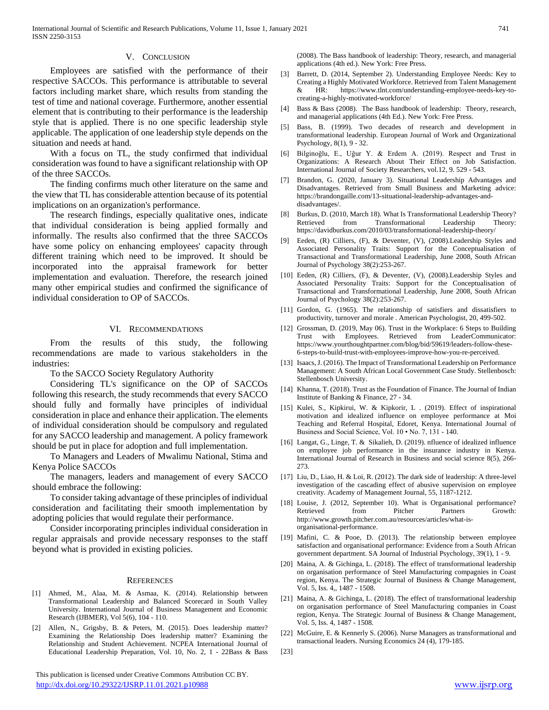#### V. CONCLUSION

 Employees are satisfied with the performance of their respective SACCOs. This performance is attributable to several factors including market share, which results from standing the test of time and national coverage. Furthermore, another essential element that is contributing to their performance is the leadership style that is applied. There is no one specific leadership style applicable. The application of one leadership style depends on the situation and needs at hand.

 With a focus on TL, the study confirmed that individual consideration was found to have a significant relationship with OP of the three SACCOs.

 The finding confirms much other literature on the same and the view that TL has considerable attention because of its potential implications on an organization's performance.

 The research findings, especially qualitative ones, indicate that individual consideration is being applied formally and informally. The results also confirmed that the three SACCOs have some policy on enhancing employees' capacity through different training which need to be improved. It should be incorporated into the appraisal framework for better implementation and evaluation. Therefore, the research joined many other empirical studies and confirmed the significance of individual consideration to OP of SACCOs.

#### VI. RECOMMENDATIONS

 From the results of this study, the following recommendations are made to various stakeholders in the industries:

To the SACCO Society Regulatory Authority

 Considering TL's significance on the OP of SACCOs following this research, the study recommends that every SACCO should fully and formally have principles of individual consideration in place and enhance their application. The elements of individual consideration should be compulsory and regulated for any SACCO leadership and management. A policy framework should be put in place for adoption and full implementation.

 To Managers and Leaders of Mwalimu National, Stima and Kenya Police SACCOs

 The managers, leaders and management of every SACCO should embrace the following:

 To consider taking advantage of these principles of individual consideration and facilitating their smooth implementation by adopting policies that would regulate their performance.

 Consider incorporating principles individual consideration in regular appraisals and provide necessary responses to the staff beyond what is provided in existing policies.

#### **REFERENCES**

- [1] Ahmed, M., Alaa, M. & Asmaa, K. (2014). Relationship between Transformational Leadership and Balanced Scorecard in South Valley University. International Journal of Business Management and Economic Research (IJBMER), Vol 5(6), 104 - 110.
- [2] Allen, N., Grigsby, B. & Peters, M. (2015). Does leadership matter? Examining the Relationship Does leadership matter? Examining the Relationship and Student Achievement. NCPEA International Journal of Educational Leadership Preparation, Vol. 10, No. 2, 1 - 22Bass & Bass

 This publication is licensed under Creative Commons Attribution CC BY. <http://dx.doi.org/10.29322/IJSRP.11.01.2021.p10988> [www.ijsrp.org](http://ijsrp.org/)

(2008). The Bass handbook of leadership: Theory, research, and managerial applications (4th ed.). New York: Free Press.

- [3] Barrett, D. (2014, September 2). Understanding Employee Needs: Key to Creating a Highly Motivated Workforce. Retrieved from Talent Management & HR: https://www.tlnt.com/understanding-employee-needs-key-tocreating-a-highly-motivated-workforce/
- [4] Bass & Bass (2008). The Bass handbook of leadership: Theory, research, and managerial applications (4th Ed.). New York: Free Press.
- [5] Bass, B. (1999). Two decades of research and development in transformational leadership. European Journal of Work and Organizational Psychology, 8(1), 9 - 32.
- [6] Bilginoğlu, E., Uğur Y. & Erdem A. (2019). Respect and Trust in Organizations: A Research About Their Effect on Job Satisfaction. International Journal of Society Researchers, vol.12, 9. 529 - 543.
- [7] Brandon, G. (2020, January 3). Situational Leadership Advantages and Disadvantages. Retrieved from Small Business and Marketing advice: https://brandongaille.com/13-situational-leadership-advantages-anddisadvantages/.
- [8] Burkus, D. (2010, March 18). What Is Transformational Leadership Theory? Retrieved from Transformational Leadership https://davidburkus.com/2010/03/transformational-leadership-theory/
- [9] Eeden, (R) Cilliers, (F), & Deventer, (V), (2008).Leadership Styles and Associated Personality Traits: Support for the Conceptualisation of Transactional and Transformational Leadership, June 2008, South African Journal of Psychology 38(2):253-267.
- [10] Eeden, (R) Cilliers, (F), & Deventer, (V), (2008).Leadership Styles and Associated Personality Traits: Support for the Conceptualisation of Transactional and Transformational Leadership, June 2008, South African Journal of Psychology 38(2):253-267.
- [11] Gordon, G. (1965). The relationship of satisfiers and dissatisfiers to productivity, turnover and morale . American Psychologist, 20, 499-502.
- [12] Grossman, D. (2019, May 06). Trust in the Workplace: 6 Steps to Building Trust with Employees. Retrieved from LeaderCommunicator: https://www.yourthoughtpartner.com/blog/bid/59619/leaders-follow-these-6-steps-to-build-trust-with-employees-improve-how-you-re-perceived.
- [13] Isaacs, J. (2016). The Impact of Transformational Leadership on Performance Management: A South African Local Government Case Study. Stellenbosch: Stellenbosch University.
- [14] Khanna, T. (2018). Trust as the Foundation of Finance. The Journal of Indian Institute of Banking & Finance, 27 - 34.
- [15] Kulei, S., Kipkirui, W. & Kipkorir, L . (2019). Effect of inspirational motivation and idealized influence on employee performance at Moi Teaching and Referral Hospital, Edoret, Kenya. International Journal of Business and Social Science, Vol. 10 • No. 7, 131 - 140.
- [16] Langat, G., Linge, T. & Sikalieh, D. (2019). nfluence of idealized influence on employee job performance in the insurance industry in Kenya. International Journal of Research in Business and social science 8(5), 266- 273.
- [17] Liu, D., Liao, H. & Loi, R. (2012). The dark side of leadership: A three-level investigation of the cascading effect of abusive supervision on employee creativity. Academy of Management Journal, 55, 1187-1212.
- [18] Louise, J. (2012, September 10). What is Organisational performance? Retrieved from Pitcher Partners Growth: http://www.growth.pitcher.com.au/resources/articles/what-isorganisational-performance.
- [19] Mafini, C. & Pooe, D. (2013). The relationship between employee satisfaction and organisational performance: Evidence from a South African government department. SA Journal of Industrial Psychology, 39(1), 1 - 9.
- [20] Maina, A. & Gichinga, L. (2018). The effect of transformational leadership on organisation performance of Steel Manufacturing compagnies in Coast region, Kenya. The Strategic Journal of Business & Change Management, Vol. 5, Iss. 4,, 1487 - 1508.
- [21] Maina, A. & Gichinga, L. (2018). The effect of transformational leadership on organisation performance of Steel Manufacturing companies in Coast region, Kenya. The Strategic Journal of Business & Change Management, Vol. 5, Iss. 4, 1487 - 1508.
- [22] McGuire, E. & Kennerly S. (2006). Nurse Managers as transformational and transactional leaders. Nursing Economics 24 (4), 179-185.
- [23]